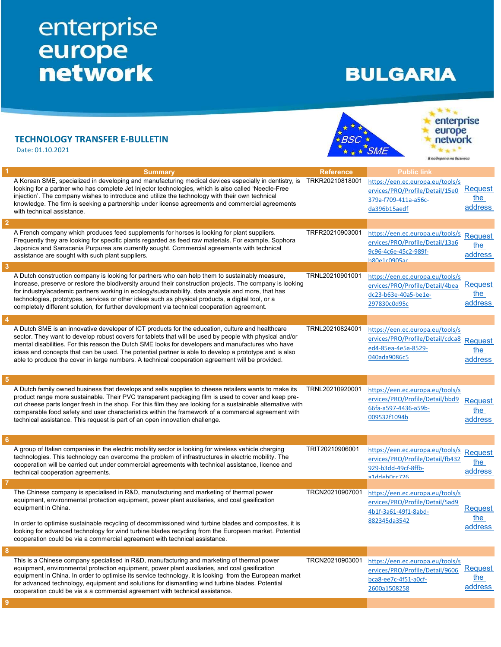## enterprise<br>
europe<br>
network

## **BULGARIA**

 $\overline{\phantom{a}}$ 

 $1 + 7 + 1$ 

|                         | <b>TECHNOLOGY TRANSFER E-BULLETIN</b><br>Date: 01.10.2021                                                                                                                                                                                                                                                                                                                                                                                                                                                                    |                  | enterprise<br>europe<br>network<br>В подкрепа на бизнеса                                                                 |                                  |
|-------------------------|------------------------------------------------------------------------------------------------------------------------------------------------------------------------------------------------------------------------------------------------------------------------------------------------------------------------------------------------------------------------------------------------------------------------------------------------------------------------------------------------------------------------------|------------------|--------------------------------------------------------------------------------------------------------------------------|----------------------------------|
|                         | <b>Summary</b>                                                                                                                                                                                                                                                                                                                                                                                                                                                                                                               | <b>Reference</b> | <b>Public link</b>                                                                                                       |                                  |
|                         | A Korean SME, specialized in developing and manufacturing medical devices especially in dentistry, is<br>looking for a partner who has complete Jet Injector technologies, which is also called 'Needle-Free<br>injection'. The company wishes to introduce and utilize the technology with their own technical<br>knowledge. The firm is seeking a partnership under license agreements and commercial agreements<br>with technical assistance.                                                                             | TRKR20210818001  | https://een.ec.europa.eu/tools/s<br>ervices/PRO/Profile/Detail/15e0<br>379a-f709-411a-a56c-<br>da396b15aedf              | Request<br>the<br>address        |
| $\overline{2}$          |                                                                                                                                                                                                                                                                                                                                                                                                                                                                                                                              |                  |                                                                                                                          |                                  |
|                         | A French company which produces feed supplements for horses is looking for plant suppliers.<br>Frequently they are looking for specific plants regarded as feed raw materials. For example, Sophora<br>Japonica and Sarracenia Purpurea are currently sought. Commercial agreements with technical<br>assistance are sought with such plant suppliers.                                                                                                                                                                       | TRFR20210903001  | https://een.ec.europa.eu/tools/s<br>ervices/PRO/Profile/Detail/13a6<br>9c96-4c6e-45c2-989f-<br>h <sub>R</sub> na1rn905ar | Request<br>the<br>address        |
| $\overline{\mathbf{3}}$ |                                                                                                                                                                                                                                                                                                                                                                                                                                                                                                                              |                  |                                                                                                                          |                                  |
|                         | A Dutch construction company is looking for partners who can help them to sustainably measure,<br>increase, preserve or restore the biodiversity around their construction projects. The company is looking<br>for industry/academic partners working in ecology/sustainability, data analysis and more, that has<br>technologies, prototypes, services or other ideas such as physical products, a digital tool, or a<br>completely different solution, for further development via technical cooperation agreement.        | TRNL20210901001  | https://een.ec.europa.eu/tools/s<br>ervices/PRO/Profile/Detail/4bea<br>dc23-b63e-40a5-be1e-<br>297830c0d95c              | <b>Request</b><br>the<br>address |
| $\overline{4}$          |                                                                                                                                                                                                                                                                                                                                                                                                                                                                                                                              |                  |                                                                                                                          |                                  |
|                         | A Dutch SME is an innovative developer of ICT products for the education, culture and healthcare<br>sector. They want to develop robust covers for tablets that will be used by people with physical and/or<br>mental disabilities. For this reason the Dutch SME looks for developers and manufactures who have<br>ideas and concepts that can be used. The potential partner is able to develop a prototype and is also<br>able to produce the cover in large numbers. A technical cooperation agreement will be provided. | TRNL20210824001  | https://een.ec.europa.eu/tools/s<br>ervices/PRO/Profile/Detail/cdca8 Request<br>ed4-85ea-4e5a-8529-<br>040ada9086c5      | the<br>address                   |
| -5                      |                                                                                                                                                                                                                                                                                                                                                                                                                                                                                                                              |                  |                                                                                                                          |                                  |
|                         | A Dutch family owned business that develops and sells supplies to cheese retailers wants to make its<br>product range more sustainable. Their PVC transparent packaging film is used to cover and keep pre-<br>cut cheese parts longer fresh in the shop. For this film they are looking for a sustainable alternative with<br>comparable food safety and user characteristics within the framework of a commercial agreement with<br>technical assistance. This request is part of an open innovation challenge.            | TRNL20210920001  | https://een.ec.europa.eu/tools/s<br>ervices/PRO/Profile/Detail/bbd9<br>66fa-a597-4436-a59b-<br>009532f1094b              | <b>Request</b><br>the<br>address |
| $6\phantom{.}6$         |                                                                                                                                                                                                                                                                                                                                                                                                                                                                                                                              |                  |                                                                                                                          |                                  |
|                         | A group of Italian companies in the electric mobility sector is looking for wireless vehicle charging<br>technologies. This technology can overcome the problem of infrastructures in electric mobility. The<br>cooperation will be carried out under commercial agreements with technical assistance, licence and<br>technical cooperation agreements.                                                                                                                                                                      | TRIT20210906001  | https://een.ec.europa.eu/tools/s<br>ervices/PRO/Profile/Detail/fb432<br>929-b3dd-49cf-8ffb-<br>a1ddeh0cc726              | Request<br>the<br>address        |
|                         |                                                                                                                                                                                                                                                                                                                                                                                                                                                                                                                              |                  |                                                                                                                          |                                  |
|                         | The Chinese company is specialised in R&D, manufacturing and marketing of thermal power<br>equipment, environmental protection equipment, power plant auxiliaries, and coal gasification<br>equipment in China.<br>In order to optimise sustainable recycling of decommissioned wind turbine blades and composites, it is<br>looking for advanced technology for wind turbine blades recycling from the European market. Potential<br>cooperation could be via a commercial agreement with technical assistance.             | TRCN20210907001  | https://een.ec.europa.eu/tools/s<br>ervices/PRO/Profile/Detail/5ad9<br>4b1f-3a61-49f1-8abd-<br>882345da3542              | <b>Request</b><br>the<br>address |
| 8                       |                                                                                                                                                                                                                                                                                                                                                                                                                                                                                                                              |                  |                                                                                                                          |                                  |
|                         | This is a Chinese company specialised in R&D, manufacturing and marketing of thermal power<br>equipment, environmental protection equipment, power plant auxiliaries, and coal gasification<br>equipment in China. In order to optimise its service technology, it is looking from the European market<br>for advanced technology, equipment and solutions for dismantling wind turbine blades. Potential<br>cooperation could be via a a commercial agreement with technical assistance.                                    | TRCN20210903001  | https://een.ec.europa.eu/tools/s<br>ervices/PRO/Profile/Detail/9606<br>bca8-ee7c-4f51-a0cf-<br>2600a1508258              | Request<br>the<br>address        |
|                         |                                                                                                                                                                                                                                                                                                                                                                                                                                                                                                                              |                  |                                                                                                                          |                                  |
|                         |                                                                                                                                                                                                                                                                                                                                                                                                                                                                                                                              |                  |                                                                                                                          |                                  |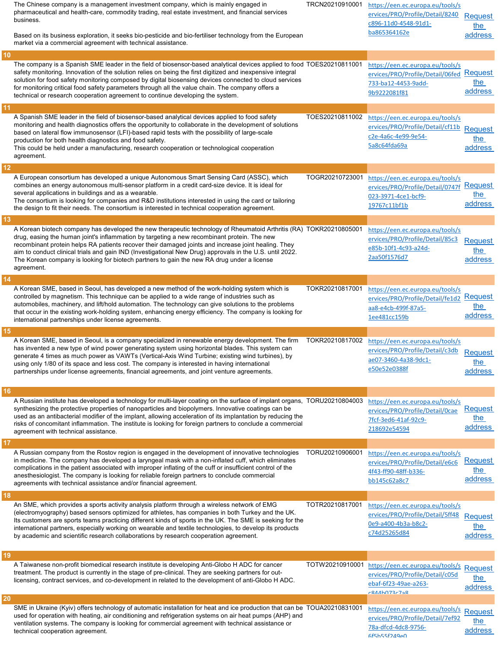|    | The Chinese company is a management investment company, which is mainly engaged in<br>pharmaceutical and health-care, commodity trading, real estate investment, and financial services<br>business.<br>Based on its business exploration, it seeks bio-pesticide and bio-fertiliser technology from the European                                                                                                                                                                                                                                | TRCN20210910001 | https://een.ec.europa.eu/tools/s<br>ervices/PRO/Profile/Detail/8240<br>c896-11d0-4548-91d1-<br>ba865364162e         | <b>Request</b><br>the<br>address |
|----|--------------------------------------------------------------------------------------------------------------------------------------------------------------------------------------------------------------------------------------------------------------------------------------------------------------------------------------------------------------------------------------------------------------------------------------------------------------------------------------------------------------------------------------------------|-----------------|---------------------------------------------------------------------------------------------------------------------|----------------------------------|
|    | market via a commercial agreement with technical assistance.                                                                                                                                                                                                                                                                                                                                                                                                                                                                                     |                 |                                                                                                                     |                                  |
| 10 | The company is a Spanish SME leader in the field of biosensor-based analytical devices applied to food TOES20210811001<br>safety monitoring. Innovation of the solution relies on being the first digitized and inexpensive integral<br>solution for food safety monitoring composed by digital biosensing devices connected to cloud services<br>for monitoring critical food safety parameters through all the value chain. The company offers a<br>technical or research cooperation agreement to continue developing the system.             |                 | https://een.ec.europa.eu/tools/s<br>ervices/PRO/Profile/Detail/06fed Request<br>733-ba12-4453-9add-<br>9b9222081f81 | the l<br>address                 |
| 11 | A Spanish SME leader in the field of biosensor-based analytical devices applied to food safety<br>monitoring and health diagnostics offers the opportunity to collaborate in the development of solutions<br>based on lateral flow immunosensor (LFI)-based rapid tests with the possibility of large-scale<br>production for both health diagnostics and food safety.<br>This could be held under a manufacturing, research cooperation or technological cooperation<br>agreement.                                                              | TOES20210811002 | https://een.ec.europa.eu/tools/s<br>ervices/PRO/Profile/Detail/cf11b<br>c2e-4a6c-4e99-9e54-<br>5a8c64fda69a         | <b>Request</b><br>the<br>address |
| 12 | A European consortium has developed a unique Autonomous Smart Sensing Card (ASSC), which<br>combines an energy autonomous multi-sensor platform in a credit card-size device. It is ideal for<br>several applications in buildings and as a wearable.<br>The consortium is looking for companies and R&D institutions interested in using the card or tailoring<br>the design to fit their needs. The consortium is interested in technical cooperation agreement.                                                                               | TOGR20210723001 | https://een.ec.europa.eu/tools/s<br>ervices/PRO/Profile/Detail/0747f<br>023-3971-4ce1-bcf9-<br>19767c11bf1b         | Request<br>the<br>address        |
| 13 | A Korean biotech company has developed the new therapeutic technology of Rheumatoid Arthritis (RA) TOKR20210805001<br>drug, easing the human joint's inflammation by targeting a new recombinant protein. The new<br>recombinant protein helps RA patients recover their damaged joints and increase joint healing. They<br>aim to conduct clinical trials and gain IND (Investigational New Drug) approvals in the U.S. until 2022.<br>The Korean company is looking for biotech partners to gain the new RA drug under a license<br>agreement. |                 | https://een.ec.europa.eu/tools/s<br>ervices/PRO/Profile/Detail/85c3<br>e85b-10f1-4c93-a24d-<br>2aa50f1576d7         | <b>Request</b><br>the<br>address |
| 14 |                                                                                                                                                                                                                                                                                                                                                                                                                                                                                                                                                  |                 |                                                                                                                     |                                  |
|    | A Korean SME, based in Seoul, has developed a new method of the work-holding system which is<br>controlled by magnetism. This technique can be applied to a wide range of industries such as<br>automobiles, machinery, and lift/hold automation. The technology can give solutions to the problems<br>that occur in the existing work-holding system, enhancing energy efficiency. The company is looking for<br>international partnerships under license agreements.                                                                           | TOKR20210817001 | https://een.ec.europa.eu/tools/s<br>ervices/PRO/Profile/Detail/fe1d2<br>aa8-e4cb-499f-87a5-<br>1ee481cc159b         | <b>Request</b><br>the<br>address |
| 15 |                                                                                                                                                                                                                                                                                                                                                                                                                                                                                                                                                  |                 |                                                                                                                     |                                  |
|    |                                                                                                                                                                                                                                                                                                                                                                                                                                                                                                                                                  |                 |                                                                                                                     |                                  |
|    | A Korean SME, based in Seoul, is a company specialized in renewable energy development. The firm<br>has invented a new type of wind power generating system using horizontal blades. This system can<br>generate 4 times as much power as VAWTs (Vertical-Axis Wind Turbine; existing wind turbines), by<br>using only 1/80 of its space and less cost. The company is interested in having international<br>partnerships under license agreements, financial agreements, and joint venture agreements.                                          | TOKR20210817002 | https://een.ec.europa.eu/tools/s<br>ervices/PRO/Profile/Detail/c3db<br>ae07-3460-4a38-9dc1-<br>e50e52e0388f         | <b>Request</b><br>the<br>address |
| 16 |                                                                                                                                                                                                                                                                                                                                                                                                                                                                                                                                                  |                 |                                                                                                                     |                                  |
|    | A Russian institute has developed a technology for multi-layer coating on the surface of implant organs, TORU20210804003<br>synthesizing the protective properties of nanoparticles and biopolymers. Innovative coatings can be<br>used as an antibacterial modifier of the implant, allowing acceleration of its implantation by reducing the<br>risks of concomitant inflammation. The institute is looking for foreign partners to conclude a commercial<br>agreement with technical assistance.                                              |                 | https://een.ec.europa.eu/tools/s<br>ervices/PRO/Profile/Detail/0cae<br>7fcf-3ed6-41af-92c9-<br>218692e54594         | <b>Request</b><br>the<br>address |
| 17 |                                                                                                                                                                                                                                                                                                                                                                                                                                                                                                                                                  |                 |                                                                                                                     |                                  |
|    | A Russian company from the Rostov region is engaged in the development of innovative technologies<br>in medicine. The company has developed a laryngeal mask with a non-inflated cuff, which eliminates<br>complications in the patient associated with improper inflating of the cuff or insufficient control of the<br>anesthesiologist. The company is looking for reliable foreign partners to conclude commercial<br>agreements with technical assistance and/or financial agreement.                                                       | TORU20210906001 | https://een.ec.europa.eu/tools/s<br>ervices/PRO/Profile/Detail/e6c6<br>4f43-ff90-48ff-b336-<br>bb145c62a8c7         | Request<br>the<br>address        |
| 18 |                                                                                                                                                                                                                                                                                                                                                                                                                                                                                                                                                  |                 |                                                                                                                     |                                  |
|    | An SME, which provides a sports activity analysis platform through a wireless network of EMG<br>(electromyography) based sensors optimized for athletes, has companies in both Turkey and the UK.<br>Its customers are sports teams practicing different kinds of sports in the UK. The SME is seeking for the<br>international partners, especially working on wearable and textile technologies, to develop its products<br>by academic and scientific research collaborations by research cooperation agreement.                              | TOTR20210817001 | https://een.ec.europa.eu/tools/s<br>ervices/PRO/Profile/Detail/5ff48<br>0e9-a400-4b3a-b8c2-<br>c74d25265d84         | <b>Request</b><br>the<br>address |
| 19 |                                                                                                                                                                                                                                                                                                                                                                                                                                                                                                                                                  |                 |                                                                                                                     |                                  |
|    | A Taiwanese non-profit biomedical research institute is developing Anti-Globo H ADC for cancer<br>treatment. The product is currently in the stage of pre-clinical. They are seeking partners for out-<br>licensing, contract services, and co-development in related to the development of anti-Globo H ADC.                                                                                                                                                                                                                                    | TOTW20210910001 | https://een.ec.europa.eu/tools/s<br>ervices/PRO/Profile/Detail/c05d<br>ebaf-6f23-49ae-a263-<br>$r$ 844h073 $r$ 7a8  | Request<br>the<br>address        |
| 20 | SME in Ukraine (Kyiv) offers technology of automatic installation for heat and ice production that can be TOUA20210831001                                                                                                                                                                                                                                                                                                                                                                                                                        |                 | https://een.ec.europa.eu/tools/s                                                                                    | Request                          |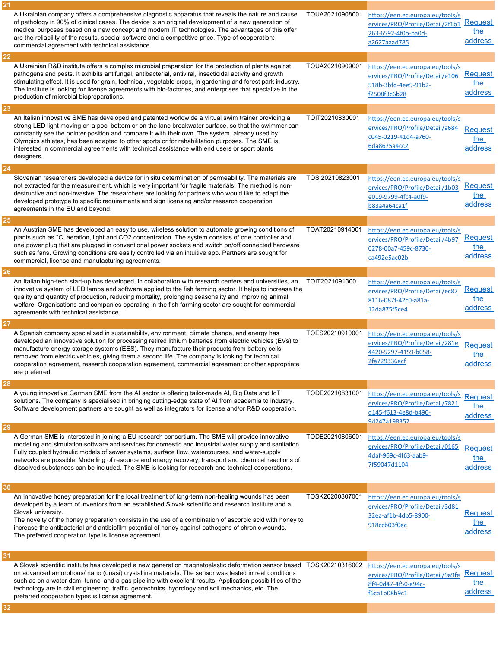|          | A Ukrainian company offers a comprehensive diagnostic apparatus that reveals the nature and cause<br>of pathology in 90% of clinical cases. The device is an original development of a new generation of<br>medical purposes based on a new concept and modern IT technologies. The advantages of this offer<br>are the reliability of the results, special software and a competitive price. Type of cooperation:<br>commercial agreement with technical assistance.                                                              | TOUA20210908001 | https://een.ec.europa.eu/tools/s<br>ervices/PRO/Profile/Detail/2f1b1<br>263-6592-4f0b-ba0d-<br>a2627aaad785         | <b>Request</b><br>the<br>address |
|----------|------------------------------------------------------------------------------------------------------------------------------------------------------------------------------------------------------------------------------------------------------------------------------------------------------------------------------------------------------------------------------------------------------------------------------------------------------------------------------------------------------------------------------------|-----------------|---------------------------------------------------------------------------------------------------------------------|----------------------------------|
| 22       |                                                                                                                                                                                                                                                                                                                                                                                                                                                                                                                                    |                 |                                                                                                                     |                                  |
|          | A Ukrainian R&D institute offers a complex microbial preparation for the protection of plants against<br>pathogens and pests. It exhibits antifungal, antibacterial, antiviral, insecticidal activity and growth<br>stimulating effect. It is used for grain, technical, vegetable crops, in gardening and forest park industry.<br>The institute is looking for license agreements with bio-factories, and enterprises that specialize in the<br>production of microbial biopreparations.                                         | TOUA20210909001 | https://een.ec.europa.eu/tools/s<br>ervices/PRO/Profile/Detail/e106<br>518b-3bfd-4ee9-91b2-<br>f2508f3c6b28         | Request<br>the<br>address        |
| 23       |                                                                                                                                                                                                                                                                                                                                                                                                                                                                                                                                    |                 |                                                                                                                     |                                  |
|          | An Italian innovative SME has developed and patented worldwide a virtual swim trainer providing a<br>strong LED light moving on a pool bottom or on the lane breakwater surface, so that the swimmer can<br>constantly see the pointer position and compare it with their own. The system, already used by<br>Olympics athletes, has been adapted to other sports or for rehabilitation purposes. The SME is<br>interested in commercial agreements with technical assistance with end users or sport plants<br>designers.         | TOIT20210830001 | https://een.ec.europa.eu/tools/s<br>ervices/PRO/Profile/Detail/a684<br>c045-0219-41d4-a760-<br>6da8675a4cc2         | <b>Request</b><br>the<br>address |
| 24       |                                                                                                                                                                                                                                                                                                                                                                                                                                                                                                                                    |                 |                                                                                                                     |                                  |
|          | Slovenian researchers developed a device for in situ determination of permeability. The materials are<br>not extracted for the measurement, which is very important for fragile materials. The method is non-<br>destructive and non-invasive. The researchers are looking for partners who would like to adapt the<br>developed prototype to specific requirements and sign licensing and/or research cooperation<br>agreements in the EU and beyond.                                                                             | TOSI20210823001 | https://een.ec.europa.eu/tools/s<br>ervices/PRO/Profile/Detail/1b03<br>e019-9799-4fc4-a0f9-<br>b83a4a64ca1f         | <b>Request</b><br>the<br>address |
| 25       |                                                                                                                                                                                                                                                                                                                                                                                                                                                                                                                                    |                 |                                                                                                                     |                                  |
|          | An Austrian SME has developed an easy to use, wireless solution to automate growing conditions of<br>plants such as °C, aeration, light and CO2 concentration. The system consists of one controller and<br>one power plug that are plugged in conventional power sockets and switch on/off connected hardware<br>such as fans. Growing conditions are easily controlled via an intuitive app. Partners are sought for<br>commercial, license and manufacturing agreements.                                                        | TOAT20210914001 | https://een.ec.europa.eu/tools/s<br>ervices/PRO/Profile/Detail/4b97<br>0278-00a7-459c-8730-<br>ca492e5ac02b         | Request<br>the<br>address        |
| 26       |                                                                                                                                                                                                                                                                                                                                                                                                                                                                                                                                    |                 |                                                                                                                     |                                  |
|          | An Italian high-tech start-up has developed, in collaboration with research centers and universities, an<br>innovative system of LED lamps and software applied to the fish farming sector. It helps to increase the<br>quality and quantity of production, reducing mortality, prolonging seasonality and improving animal<br>welfare. Organisations and companies operating in the fish farming sector are sought for commercial<br>agreements with technical assistance.                                                        | TOIT20210913001 | https://een.ec.europa.eu/tools/s<br>ervices/PRO/Profile/Detail/ec87<br>8116-087f-42c0-a81a-<br>12da875f5ce4         | Request<br>the<br>address        |
| 27       |                                                                                                                                                                                                                                                                                                                                                                                                                                                                                                                                    |                 |                                                                                                                     |                                  |
|          | A Spanish company specialised in sustainability, environment, climate change, and energy has<br>developed an innovative solution for processing retired lithium batteries from electric vehicles (EVs) to<br>manufacture energy-storage systems (EES). They manufacture their products from battery cells<br>removed from electric vehicles, giving them a second life. The company is looking for technical<br>cooperation agreement, research cooperation agreement, commercial agreement or other appropriate<br>are preferred. | TOES20210910001 | https://een.ec.europa.eu/tools/s<br>ervices/PRO/Profile/Detail/281e<br>4420-5297-4159-b058-<br>2fa729336acf         | <b>Request</b><br>the<br>address |
| 28       |                                                                                                                                                                                                                                                                                                                                                                                                                                                                                                                                    |                 |                                                                                                                     |                                  |
|          | A young innovative German SME from the AI sector is offering tailor-made AI, Big Data and IoT<br>solutions. The company is specialised in bringing cutting-edge state of AI from academia to industry.<br>Software development partners are sought as well as integrators for license and/or R&D cooperation.                                                                                                                                                                                                                      | TODE20210831001 | https://een.ec.europa.eu/tools/s Request<br>ervices/PRO/Profile/Detail/7821<br>d145-f613-4e8d-b490-<br>9d247a198352 | the<br>address                   |
| 29       |                                                                                                                                                                                                                                                                                                                                                                                                                                                                                                                                    |                 |                                                                                                                     |                                  |
|          | A German SME is interested in joining a EU research consortium. The SME will provide innovative<br>modeling and simulation software and services for domestic and industrial water supply and sanitation.<br>Fully coupled hydraulic models of sewer systems, surface flow, watercourses, and water-supply<br>networks are possible. Modelling of resource and energy recovery, transport and chemical reactions of<br>dissolved substances can be included. The SME is looking for research and technical cooperations.           | TODE20210806001 | https://een.ec.europa.eu/tools/s<br>ervices/PRO/Profile/Detail/0165<br>4daf-969c-4f63-aab9-<br>7f59047d1104         | <b>Request</b><br>the<br>address |
| 30       |                                                                                                                                                                                                                                                                                                                                                                                                                                                                                                                                    |                 |                                                                                                                     |                                  |
|          | An innovative honey preparation for the local treatment of long-term non-healing wounds has been<br>developed by a team of inventors from an established Slovak scientific and research institute and a<br>Slovak university.<br>The novelty of the honey preparation consists in the use of a combination of ascorbic acid with honey to<br>increase the antibacterial and antibiofilm potential of honey against pathogens of chronic wounds.<br>The preferred cooperation type is license agreement.                            | TOSK20200807001 | https://een.ec.europa.eu/tools/s<br>ervices/PRO/Profile/Detail/3d81<br>32ea-af1b-4db5-8900-<br>918ccb03f0ec         | <b>Request</b><br>the<br>address |
| 31<br>32 | A Slovak scientific institute has developed a new generation magnetoelastic deformation sensor based<br>on advanced amorphous/ nano (quasi) crystalline materials. The sensor was tested in real conditions<br>such as on a water dam, tunnel and a gas pipeline with excellent results. Application possibilities of the<br>technology are in civil engineering, traffic, geotechnics, hydrology and soil mechanics, etc. The<br>preferred cooperation types is license agreement.                                                | TOSK20210316002 | https://een.ec.europa.eu/tools/s<br>ervices/PRO/Profile/Detail/9a9fe<br>8f4-0d47-4f50-a94c-<br>f6ca1b08b9c1         | Request<br>the<br>address        |
|          |                                                                                                                                                                                                                                                                                                                                                                                                                                                                                                                                    |                 |                                                                                                                     |                                  |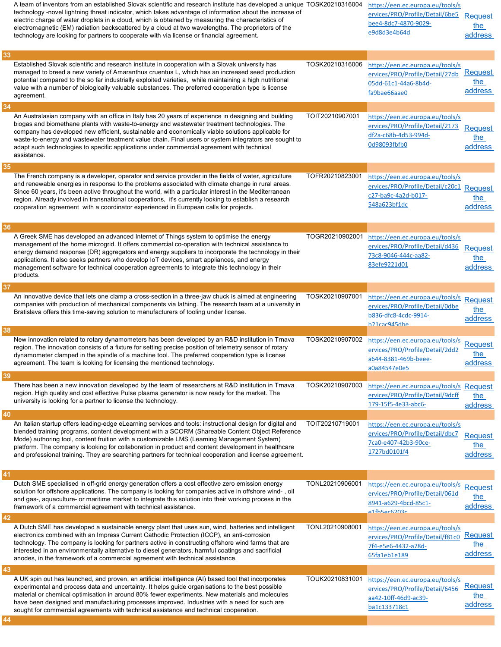| 33 | A team of inventors from an established Slovak scientific and research institute has developed a unique TOSK20210316004<br>technology -novel lightning threat indicator, which takes advantage of information about the increase of<br>electric charge of water droplets in a cloud, which is obtained by measuring the characteristics of<br>electromagnetic (EM) radiation backscattered by a cloud at two wavelengths. The proprietors of the<br>technology are looking for partners to cooperate with via license or financial agreement. |                 | https://een.ec.europa.eu/tools/s<br>ervices/PRO/Profile/Detail/6be5<br>bee4-8dc7-4870-9029-<br>e9d8d3e4b64d        | <b>Request</b><br>the<br>address |
|----|-----------------------------------------------------------------------------------------------------------------------------------------------------------------------------------------------------------------------------------------------------------------------------------------------------------------------------------------------------------------------------------------------------------------------------------------------------------------------------------------------------------------------------------------------|-----------------|--------------------------------------------------------------------------------------------------------------------|----------------------------------|
|    | Established Slovak scientific and research institute in cooperation with a Slovak university has<br>managed to breed a new variety of Amaranthus cruentus L, which has an increased seed production<br>potential compared to the so far industrially exploited varieties, while maintaining a high nutritional<br>value with a number of biologically valuable substances. The preferred cooperation type is license<br>agreement.                                                                                                            | TOSK20210316006 | https://een.ec.europa.eu/tools/s<br>ervices/PRO/Profile/Detail/27db<br>05dd-61c1-44a6-8b4d-<br>fa9bae66aae0        | <b>Request</b><br>the<br>address |
| 34 |                                                                                                                                                                                                                                                                                                                                                                                                                                                                                                                                               |                 |                                                                                                                    |                                  |
|    | An Australasian company with an office in Italy has 20 years of experience in designing and building<br>biogas and biomethane plants with waste-to-energy and wastewater treatment technologies. The<br>company has developed new efficient, sustainable and economically viable solutions applicable for<br>waste-to-energy and wastewater treatment value chain. Final users or system integrators are sought to<br>adapt such technologies to specific applications under commercial agreement with technical<br>assistance.               | TOIT20210907001 | https://een.ec.europa.eu/tools/s<br>ervices/PRO/Profile/Detail/2173<br>df2a-c68b-4d53-994d-<br>0d98093fbfb0        | <b>Request</b><br>the<br>address |
| 35 |                                                                                                                                                                                                                                                                                                                                                                                                                                                                                                                                               |                 |                                                                                                                    |                                  |
|    | The French company is a developer, operator and service provider in the fields of water, agriculture<br>and renewable energies in response to the problems associated with climate change in rural areas.<br>Since 60 years, it's been active throughout the world, with a particular interest in the Mediterranean<br>region. Already involved in transnational cooperations, it's currently looking to establish a research<br>cooperation agreement with a coordinator experienced in European calls for projects.                         | TOFR20210823001 | https://een.ec.europa.eu/tools/s<br>ervices/PRO/Profile/Detail/c20c1<br>c27-ba9c-4a2d-b017-<br>548a623bf1dc        | <b>Request</b><br>the<br>address |
| 36 |                                                                                                                                                                                                                                                                                                                                                                                                                                                                                                                                               |                 |                                                                                                                    |                                  |
|    | A Greek SME has developed an advanced Internet of Things system to optimise the energy<br>management of the home microgrid. It offers commercial co-operation with technical assistance to<br>energy demand response (DR) aggregators and energy suppliers to incorporate the technology in their<br>applications. It also seeks partners who develop IoT devices, smart appliances, and energy<br>management software for technical cooperation agreements to integrate this technology in their<br>products.                                | TOGR20210902001 | https://een.ec.europa.eu/tools/s<br>ervices/PRO/Profile/Detail/d436<br>73c8-9046-444c-aa82-<br>83efe9221d01        | <b>Request</b><br>the<br>address |
| 37 |                                                                                                                                                                                                                                                                                                                                                                                                                                                                                                                                               |                 |                                                                                                                    |                                  |
|    | An innovative device that lets one clamp a cross-section in a three-jaw chuck is aimed at engineering<br>companies with production of mechanical components via lathing. The research team at a university in<br>Bratislava offers this time-saving solution to manufacturers of tooling under license.                                                                                                                                                                                                                                       | TOSK20210907001 | https://een.ec.europa.eu/tools/s<br>ervices/PRO/Profile/Detail/0dbe<br>b836-dfc8-4cdc-9914-<br>h71rar945dhe        | <b>Request</b><br>the<br>address |
| 38 |                                                                                                                                                                                                                                                                                                                                                                                                                                                                                                                                               |                 |                                                                                                                    |                                  |
|    | New innovation related to rotary dynamometers has been developed by an R&D institution in Trnava<br>region. The innovation consists of a fixture for setting precise position of telemetry sensor of rotary<br>dynamometer clamped in the spindle of a machine tool. The preferred cooperation type is license<br>agreement. The team is looking for licensing the mentioned technology.                                                                                                                                                      | TOSK20210907002 | https://een.ec.europa.eu/tools/s<br>ervices/PRO/Profile/Detail/2dd2<br>a644-8381-469b-beee-<br>a0a84547e0e5        | <b>Request</b><br>the<br>address |
| 39 |                                                                                                                                                                                                                                                                                                                                                                                                                                                                                                                                               |                 |                                                                                                                    |                                  |
|    | There has been a new innovation developed by the team of researchers at R&D institution in Trnava<br>region. High quality and cost effective Pulse plasma generator is now ready for the market. The<br>university is looking for a partner to license the technology.                                                                                                                                                                                                                                                                        | TOSK20210907003 | https://een.ec.europa.eu/tools/s Request<br>ervices/PRO/Profile/Detail/9dcff<br>179-15f5-4e33-abc6-                | the<br>address                   |
| 40 |                                                                                                                                                                                                                                                                                                                                                                                                                                                                                                                                               |                 |                                                                                                                    |                                  |
|    | An Italian startup offers leading-edge eLearning services and tools: instructional design for digital and<br>blended training programs, content development with a SCORM (Shareable Content Object Reference<br>Mode) authoring tool, content fruition with a customizable LMS (Learning Management System)<br>platform. The company is looking for collaboration in product and content development in healthcare<br>and professional training. They are searching partners for technical cooperation and license agreement.                 | TOIT20210719001 | https://een.ec.europa.eu/tools/s<br>ervices/PRO/Profile/Detail/dbc7<br>7ca0-e407-42b3-90ce-<br>1727bd0101f4        | <b>Request</b><br>the<br>address |
| 41 |                                                                                                                                                                                                                                                                                                                                                                                                                                                                                                                                               |                 |                                                                                                                    |                                  |
|    | Dutch SME specialised in off-grid energy generation offers a cost effective zero emission energy<br>solution for offshore applications. The company is looking for companies active in offshore wind-, oil<br>and gas-, aquaculture- or maritime market to integrate this solution into their working process in the<br>framework of a commercial agreement with technical assistance.                                                                                                                                                        | TONL20210906001 | https://een.ec.europa.eu/tools/s<br>ervices/PRO/Profile/Detail/061d<br>8941-a629-4bcd-85c1-<br><u>a1fh5ac6203c</u> | <b>Request</b><br>the<br>address |
| 42 |                                                                                                                                                                                                                                                                                                                                                                                                                                                                                                                                               |                 |                                                                                                                    |                                  |
|    | A Dutch SME has developed a sustainable energy plant that uses sun, wind, batteries and intelligent<br>electronics combined with an Impress Current Cathodic Protection (ICCP), an anti-corrosion<br>technology. The company is looking for partners active in constructing offshore wind farms that are<br>interested in an environmentally alternative to diesel generators, harmful coatings and sacrificial<br>anodes, in the framework of a commercial agreement with technical assistance.                                              | TONL20210908001 | https://een.ec.europa.eu/tools/s<br>ervices/PRO/Profile/Detail/f81c0<br>7f4-e5e6-4432-a78d-<br>65fa1eb1e189        | Request<br>the<br>address        |
| 43 |                                                                                                                                                                                                                                                                                                                                                                                                                                                                                                                                               |                 |                                                                                                                    |                                  |
|    | A UK spin out has launched, and proven, an artificial intelligence (AI) based tool that incorporates<br>experimental and process data and uncertainty. It helps guide organisations to the best possible<br>material or chemical optimisation in around 80% fewer experiments. New materials and molecules<br>have been designed and manufacturing processes improved. Industries with a need for such are<br>sought for commercial agreements with technical assistance and technical cooperation.                                           | TOUK20210831001 | https://een.ec.europa.eu/tools/s<br>ervices/PRO/Profile/Detail/6456<br>aa42-10ff-46d9-ac39-<br>ba1c133718c1        | <b>Request</b><br>the<br>address |
| 44 |                                                                                                                                                                                                                                                                                                                                                                                                                                                                                                                                               |                 |                                                                                                                    |                                  |